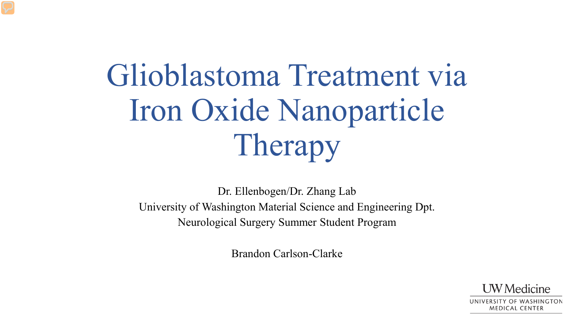# Glioblastoma Treatment via Iron Oxide Nanoparticle Therapy

Dr. Ellenbogen/Dr. Zhang Lab University of Washington Material Science and Engineering Dpt. Neurological Surgery Summer Student Program

Brandon Carlson-Clarke

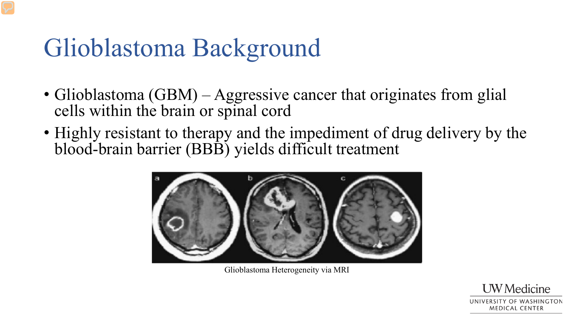### Glioblastoma Background

- Glioblastoma (GBM) Aggressive cancer that originates from glial cells within the brain or spinal cord
- Highly resistant to therapy and the impediment of drug delivery by the blood-brain barrier (BBB) yields difficult treatment



Glioblastoma Heterogeneity via MRI

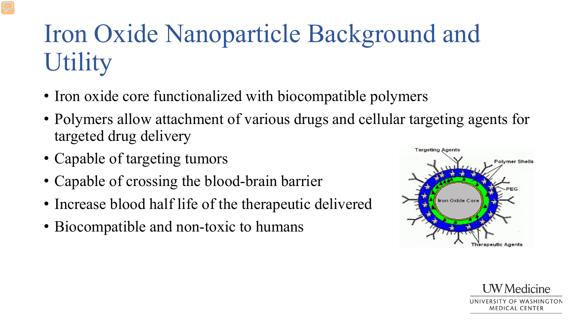## Iron Oxide Nanoparticle Background and **Utility**

- Iron oxide core functionalized with biocompatible polymers
- Polymers allow attachment of various drugs and cellular targeting agents for targeted drug delivery
- Capable of targeting tumors
- Capable of crossing the blood-brain barrier
- Increase blood half life of the therapeutic delivered
- Biocompatible and non-toxic to humans



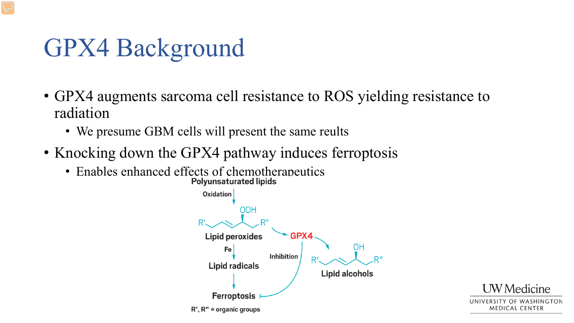### GPX4 Background

- GPX4 augments sarcoma cell resistance to ROS yielding resistance to radiation
	- We presume GBM cells will present the same reults
- Knocking down the GPX4 pathway induces ferroptosis
	- Enables enhanced effects of chemotherapeutics<br>Polyunsaturated lipids



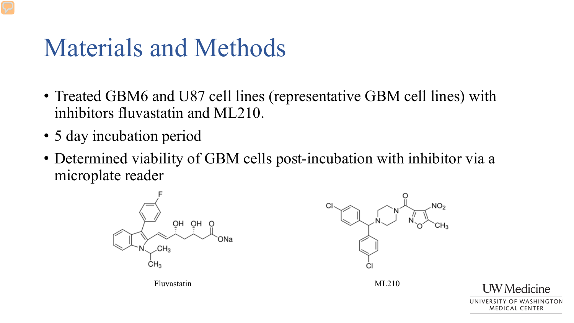### Materials and Methods

- Treated GBM6 and U87 cell lines (representative GBM cell lines) with inhibitors fluvastatin and ML210.
- 5 day incubation period
- Determined viability of GBM cells post-incubation with inhibitor via a microplate reader





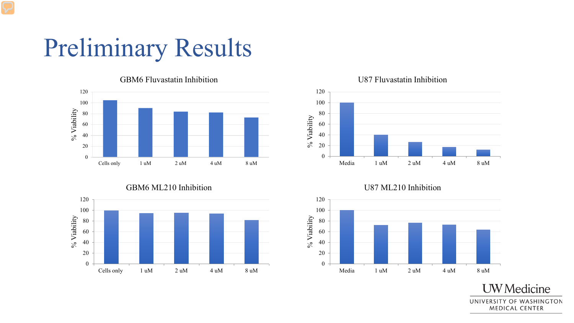### Preliminary Results



#### GBM6 ML210 Inhibition



#### U87 Fluvastatin Inhibition



U87 ML210 Inhibition



UNIVERSITY OF WASHINGTON **MEDICAL CENTER** 

**UW** Medicine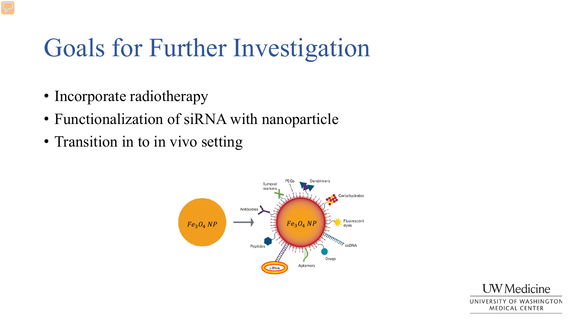### Goals for Further Investigation

- Incorporate radiotherapy
- Functionalization of siRNA with nanoparticle
- Transition in to in vivo setting



**UW** Medicine UNIVERSITY OF WASHINGTON **MEDICAL CENTER**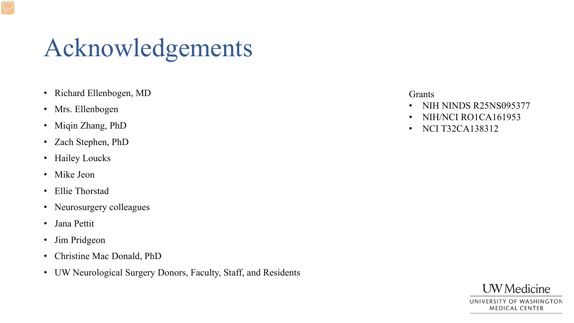### Acknowledgements

- Richard Ellenbogen, MD
- Mrs. Ellenbogen
- Miqin Zhang, PhD
- Zach Stephen, PhD
- Hailey Loucks
- Mike Jeon
- Ellie Thorstad
- Neurosurgery colleagues
- Jana Pettit
- Jim Pridgeon
- Christine Mac Donald, PhD
- UW Neurological Surgery Donors, Faculty, Staff, and Residents

#### **Grants**

- NIH NINDS R25NS095377
- NIH/NCI RO1CA161953
- NCI T32CA138312